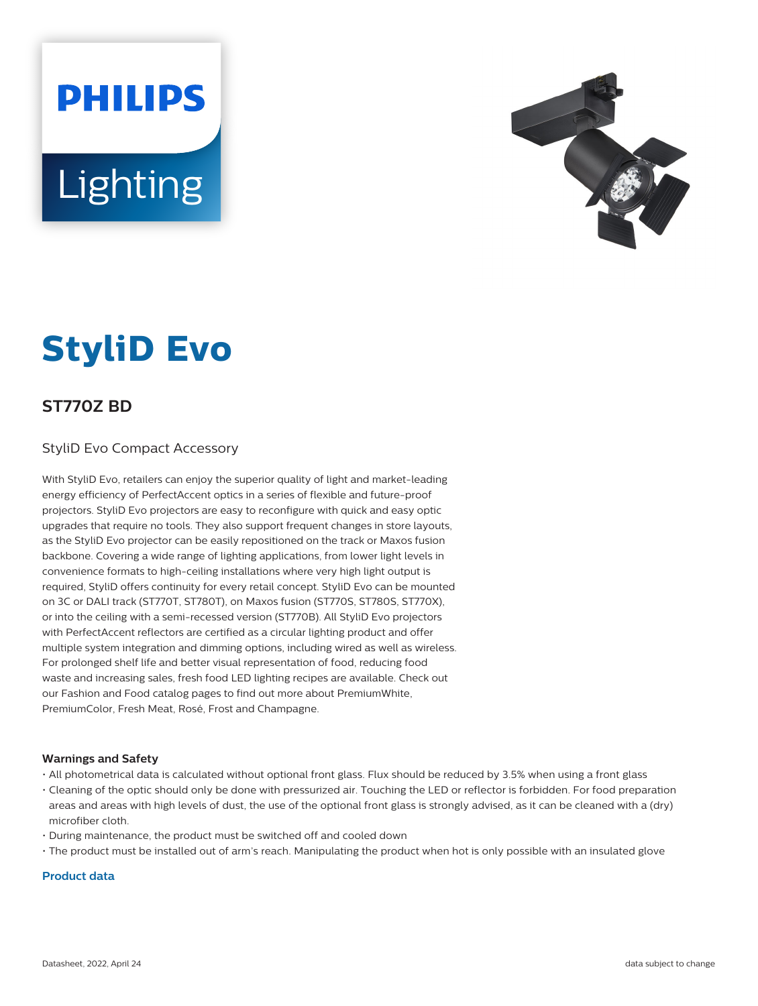**PHILIPS Lighting** 



# **StyliD Evo**

# **ST770Z BD**

## StyliD Evo Compact Accessory

With StyliD Evo, retailers can enjoy the superior quality of light and market-leading energy efficiency of PerfectAccent optics in a series of flexible and future-proof projectors. StyliD Evo projectors are easy to reconfigure with quick and easy optic upgrades that require no tools. They also support frequent changes in store layouts, as the StyliD Evo projector can be easily repositioned on the track or Maxos fusion backbone. Covering a wide range of lighting applications, from lower light levels in convenience formats to high-ceiling installations where very high light output is required, StyliD offers continuity for every retail concept. StyliD Evo can be mounted on 3C or DALI track (ST770T, ST780T), on Maxos fusion (ST770S, ST780S, ST770X), or into the ceiling with a semi-recessed version (ST770B). All StyliD Evo projectors with PerfectAccent reflectors are certified as a circular lighting product and offer multiple system integration and dimming options, including wired as well as wireless. For prolonged shelf life and better visual representation of food, reducing food waste and increasing sales, fresh food LED lighting recipes are available. Check out our Fashion and Food catalog pages to find out more about PremiumWhite, PremiumColor, Fresh Meat, Rosé, Frost and Champagne.

#### **Warnings and Safety**

- All photometrical data is calculated without optional front glass. Flux should be reduced by 3.5% when using a front glass
- Cleaning of the optic should only be done with pressurized air. Touching the LED or reflector is forbidden. For food preparation areas and areas with high levels of dust, the use of the optional front glass is strongly advised, as it can be cleaned with a (dry) microfiber cloth.
- During maintenance, the product must be switched off and cooled down
- The product must be installed out of arm's reach. Manipulating the product when hot is only possible with an insulated glove

## **Product data**